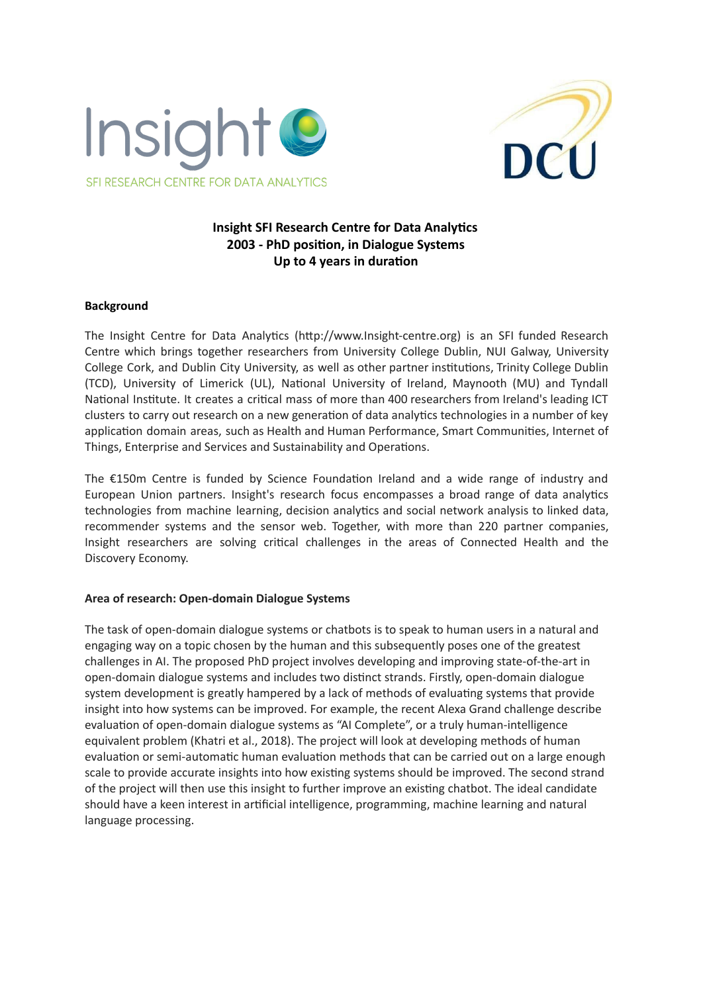



# **Insight SFI Research Centre for Data Analytics 2003 - PhD position, in Dialogue Systems Up to 4 years in duration**

## **Background**

The Insight Centre for Data Analytics (http://www.Insight-centre.org) is an SFI funded Research Centre which brings together researchers from University College Dublin, NUI Galway, University College Cork, and Dublin City University, as well as other partner institutions, Trinity College Dublin (TCD), University of Limerick (UL), National University of Ireland, Maynooth (MU) and Tyndall National Institute. It creates a critical mass of more than 400 researchers from Ireland's leading ICT clusters to carry out research on a new generation of data analytics technologies in a number of key application domain areas, such as Health and Human Performance, Smart Communities, Internet of Things, Enterprise and Services and Sustainability and Operations.

The  $£150m$  Centre is funded by Science Foundation Ireland and a wide range of industry and European Union partners. Insight's research focus encompasses a broad range of data analytics technologies from machine learning, decision analytics and social network analysis to linked data, recommender systems and the sensor web. Together, with more than 220 partner companies, Insight researchers are solving critical challenges in the areas of Connected Health and the Discovery Economy.

# **Area of research: Open-domain Dialogue Systems**

The task of open-domain dialogue systems or chatbots is to speak to human users in a natural and engaging way on a topic chosen by the human and this subsequently poses one of the greatest challenges in AI. The proposed PhD project involves developing and improving state-of-the-art in open-domain dialogue systems and includes two distinct strands. Firstly, open-domain dialogue system development is greatly hampered by a lack of methods of evaluating systems that provide insight into how systems can be improved. For example, the recent Alexa Grand challenge describe evaluation of open-domain dialogue systems as "AI Complete", or a truly human-intelligence equivalent problem (Khatri et al., 2018). The project will look at developing methods of human evaluation or semi-automatic human evaluation methods that can be carried out on a large enough scale to provide accurate insights into how existing systems should be improved. The second strand of the project will then use this insight to further improve an existing chatbot. The ideal candidate should have a keen interest in arficial intelligence, programming, machine learning and natural language processing.